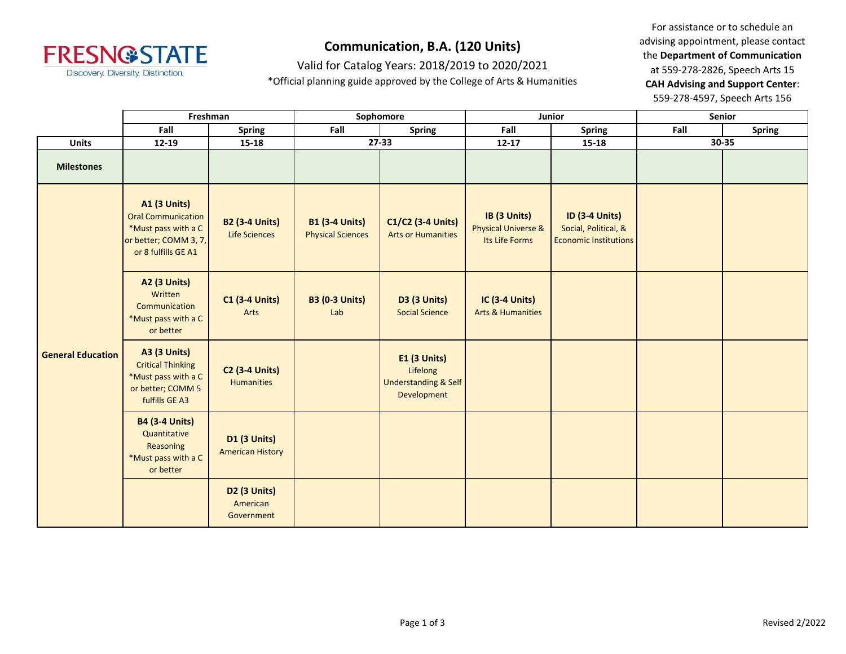

Valid for Catalog Years: 2018/2019 to 2020/2021

\*Official planning guide approved by the College of Arts & Humanities

|                          | Freshman                                                                                                                |                                                | Sophomore                                         |                                                                            |                                                                  | Junior                                                                        | Senior |               |
|--------------------------|-------------------------------------------------------------------------------------------------------------------------|------------------------------------------------|---------------------------------------------------|----------------------------------------------------------------------------|------------------------------------------------------------------|-------------------------------------------------------------------------------|--------|---------------|
|                          | Fall                                                                                                                    | <b>Spring</b>                                  | Fall                                              | Spring                                                                     | Fall                                                             | <b>Spring</b>                                                                 | Fall   | <b>Spring</b> |
| <b>Units</b>             | $12 - 19$                                                                                                               | $15 - 18$                                      |                                                   | 27-33                                                                      | $12 - 17$                                                        | $15 - 18$                                                                     | 30-35  |               |
| <b>Milestones</b>        |                                                                                                                         |                                                |                                                   |                                                                            |                                                                  |                                                                               |        |               |
| <b>General Education</b> | <b>A1 (3 Units)</b><br><b>Oral Communication</b><br>*Must pass with a C<br>or better; COMM 3, 7,<br>or 8 fulfills GE A1 | <b>B2 (3-4 Units)</b><br>Life Sciences         | <b>B1 (3-4 Units)</b><br><b>Physical Sciences</b> | C1/C2 (3-4 Units)<br><b>Arts or Humanities</b>                             | IB (3 Units)<br><b>Physical Universe &amp;</b><br>Its Life Forms | <b>ID (3-4 Units)</b><br>Social, Political, &<br><b>Economic Institutions</b> |        |               |
|                          | <b>A2 (3 Units)</b><br>Written<br>Communication<br>*Must pass with a C<br>or better                                     | <b>C1 (3-4 Units)</b><br>Arts                  | <b>B3 (0-3 Units)</b><br>Lab                      | <b>D3 (3 Units)</b><br><b>Social Science</b>                               | <b>IC (3-4 Units)</b><br><b>Arts &amp; Humanities</b>            |                                                                               |        |               |
|                          | <b>A3 (3 Units)</b><br><b>Critical Thinking</b><br>*Must pass with a C<br>or better; COMM 5<br>fulfills GE A3           | <b>C2 (3-4 Units)</b><br><b>Humanities</b>     |                                                   | E1 (3 Units)<br>Lifelong<br><b>Understanding &amp; Self</b><br>Development |                                                                  |                                                                               |        |               |
|                          | <b>B4 (3-4 Units)</b><br>Quantitative<br>Reasoning<br>*Must pass with a C<br>or better                                  | <b>D1 (3 Units)</b><br><b>American History</b> |                                                   |                                                                            |                                                                  |                                                                               |        |               |
|                          |                                                                                                                         | <b>D2 (3 Units)</b><br>American<br>Government  |                                                   |                                                                            |                                                                  |                                                                               |        |               |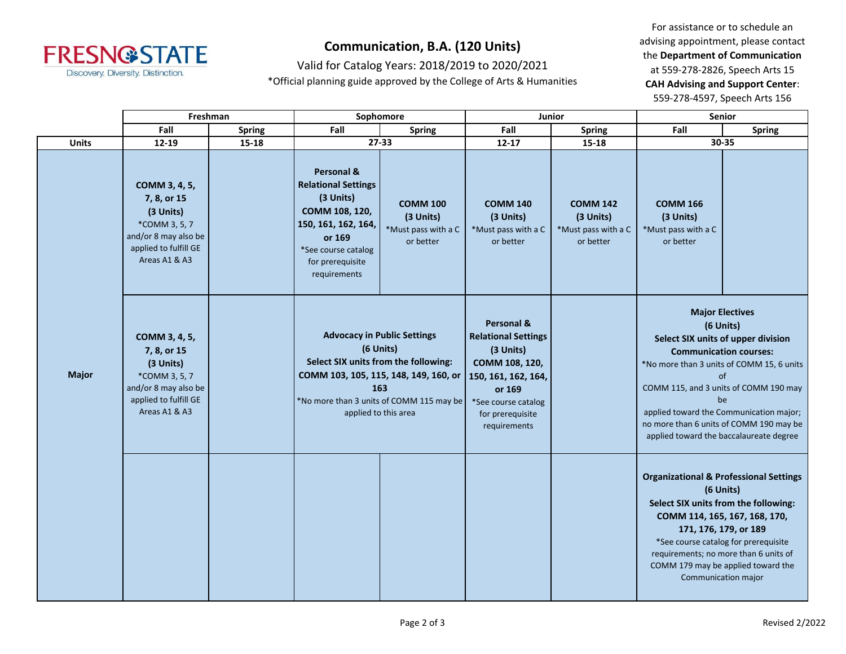

Valid for Catalog Years: 2018/2019 to 2020/2021

\*Official planning guide approved by the College of Arts & Humanities

|              | Freshman                                                                                                                     |               | Sophomore                                                                                                                                                           |                                                                  | <b>Junior</b>                                                                                                                                                                  |                                                                  | Senior                                                                                                                                                                                                                                                                                                                                        |                                                                                                                                                      |
|--------------|------------------------------------------------------------------------------------------------------------------------------|---------------|---------------------------------------------------------------------------------------------------------------------------------------------------------------------|------------------------------------------------------------------|--------------------------------------------------------------------------------------------------------------------------------------------------------------------------------|------------------------------------------------------------------|-----------------------------------------------------------------------------------------------------------------------------------------------------------------------------------------------------------------------------------------------------------------------------------------------------------------------------------------------|------------------------------------------------------------------------------------------------------------------------------------------------------|
|              | Fall                                                                                                                         | <b>Spring</b> | Fall                                                                                                                                                                | <b>Spring</b>                                                    | Fall                                                                                                                                                                           | <b>Spring</b>                                                    | Fall                                                                                                                                                                                                                                                                                                                                          | <b>Spring</b>                                                                                                                                        |
| <b>Units</b> | 12-19                                                                                                                        | 15-18         | $27 - 33$                                                                                                                                                           |                                                                  | $12 - 17$                                                                                                                                                                      | 15-18                                                            |                                                                                                                                                                                                                                                                                                                                               | 30-35                                                                                                                                                |
|              | COMM 3, 4, 5,<br>7, 8, or 15<br>(3 Units)<br>*COMM 3, 5, 7<br>and/or 8 may also be<br>applied to fulfill GE<br>Areas A1 & A3 |               | Personal &<br><b>Relational Settings</b><br>(3 Units)<br>COMM 108, 120,<br>150, 161, 162, 164,<br>or 169<br>*See course catalog<br>for prerequisite<br>requirements | <b>COMM 100</b><br>(3 Units)<br>*Must pass with a C<br>or better | <b>COMM 140</b><br>(3 Units)<br>*Must pass with a C<br>or better                                                                                                               | <b>COMM 142</b><br>(3 Units)<br>*Must pass with a C<br>or better | <b>COMM 166</b><br>(3 Units)<br>*Must pass with a C<br>or better                                                                                                                                                                                                                                                                              |                                                                                                                                                      |
| <b>Major</b> | COMM 3, 4, 5,<br>7, 8, or 15<br>(3 Units)<br>*COMM 3, 5, 7<br>and/or 8 may also be<br>applied to fulfill GE<br>Areas A1 & A3 |               | <b>Advocacy in Public Settings</b><br>(6 Units)<br>Select SIX units from the following:<br>COMM 103, 105, 115, 148, 149, 160, or<br>163<br>applied to this area     | *No more than 3 units of COMM 115 may be                         | <b>Personal &amp;</b><br><b>Relational Settings</b><br>(3 Units)<br>COMM 108, 120,<br>150, 161, 162, 164,<br>or 169<br>*See course catalog<br>for prerequisite<br>requirements |                                                                  | <b>Major Electives</b><br>(6 Units)<br>Select SIX units of upper division<br><b>Communication courses:</b><br>*No more than 3 units of COMM 15, 6 units<br>of<br>COMM 115, and 3 units of COMM 190 may<br>be<br>applied toward the Communication major;<br>no more than 6 units of COMM 190 may be<br>applied toward the baccalaureate degree |                                                                                                                                                      |
|              |                                                                                                                              |               |                                                                                                                                                                     |                                                                  |                                                                                                                                                                                |                                                                  | <b>Organizational &amp; Professional Settings</b><br>(6 Units)<br>Select SIX units from the following:<br>171, 176, 179, or 189<br>Communication major                                                                                                                                                                                        | COMM 114, 165, 167, 168, 170,<br>*See course catalog for prerequisite<br>requirements; no more than 6 units of<br>COMM 179 may be applied toward the |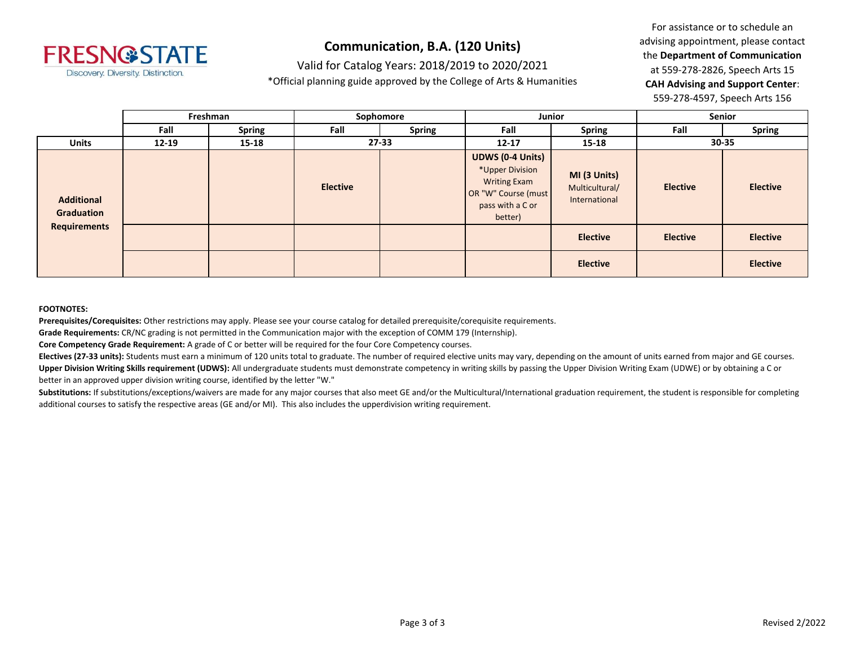

Valid for Catalog Years: 2018/2019 to 2020/2021

\*Official planning guide approved by the College of Arts & Humanities

For assistance or to schedule an advising appointment, please contact the **Department of Communication** at 559-278-2826, Speech Arts 15 **CAH Advising and Support Center**: 559-278-4597, Speech Arts 156

|                                 |           | Freshman      | Sophomore       |               |                                                                                                                         | Junior                                          |                 | Senior          |  |
|---------------------------------|-----------|---------------|-----------------|---------------|-------------------------------------------------------------------------------------------------------------------------|-------------------------------------------------|-----------------|-----------------|--|
|                                 | Fall      | <b>Spring</b> | Fall            | <b>Spring</b> | Fall                                                                                                                    | <b>Spring</b>                                   | Fall            | <b>Spring</b>   |  |
| <b>Units</b>                    | $12 - 19$ | $15 - 18$     | $27 - 33$       |               | $12 - 17$                                                                                                               | $15 - 18$                                       | 30-35           |                 |  |
| <b>Additional</b><br>Graduation |           |               | <b>Elective</b> |               | <b>UDWS (0-4 Units)</b><br>*Upper Division<br><b>Writing Exam</b><br>OR "W" Course (must<br>pass with a C or<br>better) | MI (3 Units)<br>Multicultural/<br>International | <b>Elective</b> | <b>Elective</b> |  |
| <b>Requirements</b>             |           |               |                 |               |                                                                                                                         | <b>Elective</b>                                 | <b>Elective</b> | <b>Elective</b> |  |
|                                 |           |               |                 |               |                                                                                                                         | <b>Elective</b>                                 |                 | <b>Elective</b> |  |

#### **FOOTNOTES:**

**Prerequisites/Corequisites:** Other restrictions may apply. Please see your course catalog for detailed prerequisite/corequisite requirements.

**Grade Requirements:** CR/NC grading is not permitted in the Communication major with the exception of COMM 179 (Internship).

**Core Competency Grade Requirement:** A grade of C or better will be required for the four Core Competency courses.

**Electives (27-33 units):** Students must earn a minimum of 120 units total to graduate. The number of required elective units may vary, depending on the amount of units earned from major and GE courses. **Upper Division Writing Skills requirement (UDWS):** All undergraduate students must demonstrate competency in writing skills by passing the Upper Division Writing Exam (UDWE) or by obtaining a C or better in an approved upper division writing course, identified by the letter "W."

Substitutions: If substitutions/exceptions/waivers are made for any major courses that also meet GE and/or the Multicultural/International graduation requirement, the student is responsible for completing additional courses to satisfy the respective areas (GE and/or MI). This also includes the upperdivision writing requirement.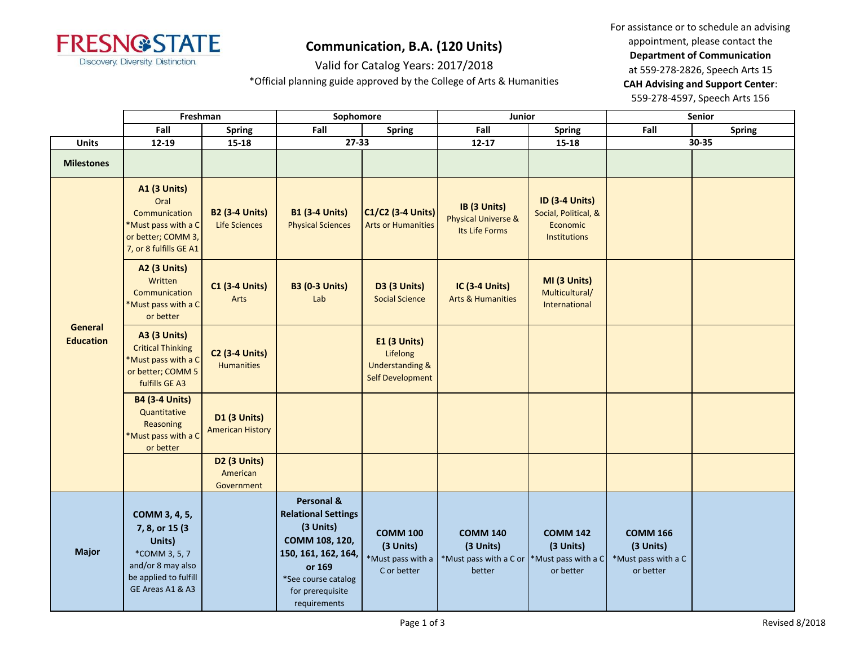

Valid for Catalog Years: 2017/2018

\*Official planning guide approved by the College of Arts & Humanities

|                             | Freshman                                                                                                                      |                                                    | Sophomore                                                                                                                                                           |                                                                                          | Junior                                                           |                                                                           |                                                                  | Senior        |
|-----------------------------|-------------------------------------------------------------------------------------------------------------------------------|----------------------------------------------------|---------------------------------------------------------------------------------------------------------------------------------------------------------------------|------------------------------------------------------------------------------------------|------------------------------------------------------------------|---------------------------------------------------------------------------|------------------------------------------------------------------|---------------|
|                             | Fall                                                                                                                          | <b>Spring</b>                                      | Fall                                                                                                                                                                | Spring                                                                                   | Fall                                                             | <b>Spring</b>                                                             | Fall                                                             | <b>Spring</b> |
| <b>Units</b>                | 12-19                                                                                                                         | $15 - 18$                                          | 27-33                                                                                                                                                               |                                                                                          | $12 - 17$                                                        | 15-18                                                                     |                                                                  | 30-35         |
| <b>Milestones</b>           |                                                                                                                               |                                                    |                                                                                                                                                                     |                                                                                          |                                                                  |                                                                           |                                                                  |               |
|                             | <b>A1 (3 Units)</b><br>Oral<br>Communication<br>Must pass with a C<br>or better; COMM 3,<br>7, or 8 fulfills GE A1            | <b>B2 (3-4 Units)</b><br>Life Sciences             | <b>B1 (3-4 Units)</b><br><b>Physical Sciences</b>                                                                                                                   | C1/C2 (3-4 Units)<br><b>Arts or Humanities</b>                                           | IB (3 Units)<br><b>Physical Universe &amp;</b><br>Its Life Forms | <b>ID (3-4 Units)</b><br>Social, Political, &<br>Economic<br>Institutions |                                                                  |               |
|                             | A2 (3 Units)<br>Written<br>Communication<br>Must pass with a C<br>or better                                                   | <b>C1 (3-4 Units)</b><br>Arts                      | <b>B3 (0-3 Units)</b><br>Lab                                                                                                                                        | <b>D3 (3 Units)</b><br><b>Social Science</b>                                             | <b>IC (3-4 Units)</b><br><b>Arts &amp; Humanities</b>            | MI (3 Units)<br>Multicultural/<br>International                           |                                                                  |               |
| General<br><b>Education</b> | <b>A3 (3 Units)</b><br><b>Critical Thinking</b><br>*Must pass with a C<br>or better; COMM 5<br>fulfills GE A3                 | <b>C2 (3-4 Units)</b><br>Humanities                |                                                                                                                                                                     | <b>E1 (3 Units)</b><br>Lifelong<br><b>Understanding &amp;</b><br><b>Self Development</b> |                                                                  |                                                                           |                                                                  |               |
|                             | <b>B4 (3-4 Units)</b><br>Quantitative<br>Reasoning<br>*Must pass with a C<br>or better                                        | <b>D1 (3 Units)</b><br><b>American History</b>     |                                                                                                                                                                     |                                                                                          |                                                                  |                                                                           |                                                                  |               |
|                             |                                                                                                                               | D <sub>2</sub> (3 Units)<br>American<br>Government |                                                                                                                                                                     |                                                                                          |                                                                  |                                                                           |                                                                  |               |
| <b>Major</b>                | COMM 3, 4, 5,<br>7, 8, or 15 (3)<br>Units)<br>*COMM 3, 5, 7<br>and/or 8 may also<br>be applied to fulfill<br>GE Areas A1 & A3 |                                                    | Personal &<br><b>Relational Settings</b><br>(3 Units)<br>COMM 108, 120,<br>150, 161, 162, 164,<br>or 169<br>*See course catalog<br>for prerequisite<br>requirements | <b>COMM 100</b><br>(3 Units)<br>*Must pass with a<br>C or better                         | <b>COMM 140</b><br>(3 Units)<br>*Must pass with a C or<br>better | <b>COMM 142</b><br>(3 Units)<br>*Must pass with a C<br>or better          | <b>COMM 166</b><br>(3 Units)<br>*Must pass with a C<br>or better |               |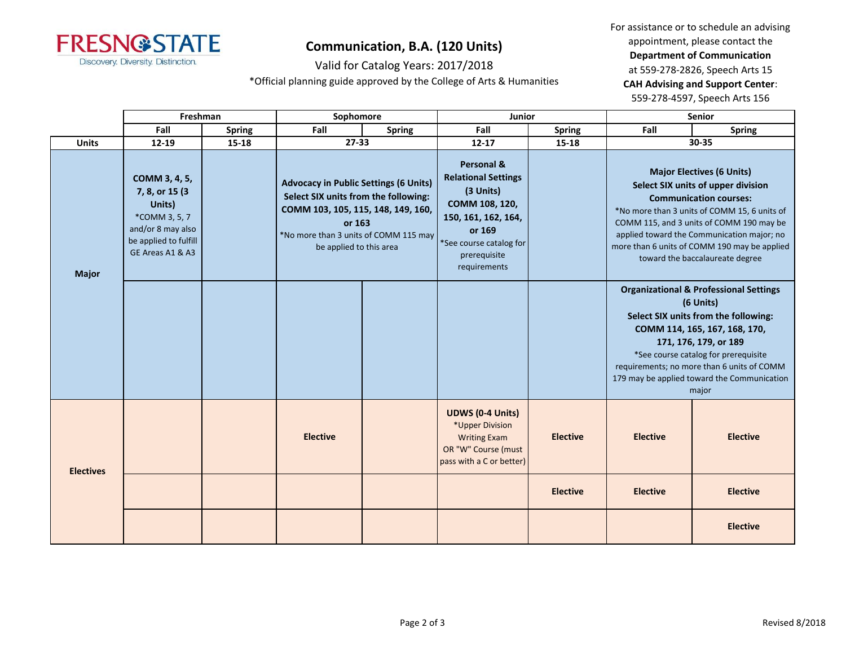

Valid for Catalog Years: 2017/2018

\*Official planning guide approved by the College of Arts & Humanities

|                  | Freshman                                                                                                                      |               | Sophomore                                                                                                                                                                                                |               | Junior                                                                                                                                                              |                 |                 | Senior                                                                                                                                                                                                                                                                                                                               |
|------------------|-------------------------------------------------------------------------------------------------------------------------------|---------------|----------------------------------------------------------------------------------------------------------------------------------------------------------------------------------------------------------|---------------|---------------------------------------------------------------------------------------------------------------------------------------------------------------------|-----------------|-----------------|--------------------------------------------------------------------------------------------------------------------------------------------------------------------------------------------------------------------------------------------------------------------------------------------------------------------------------------|
|                  | Fall                                                                                                                          | <b>Spring</b> | Fall                                                                                                                                                                                                     | <b>Spring</b> | Fall                                                                                                                                                                | <b>Spring</b>   | Fall            | <b>Spring</b>                                                                                                                                                                                                                                                                                                                        |
| <b>Units</b>     | $12 - 19$                                                                                                                     | 15-18         | $27 - 33$                                                                                                                                                                                                |               | $12 - 17$                                                                                                                                                           | $15 - 18$       |                 | 30-35                                                                                                                                                                                                                                                                                                                                |
| <b>Major</b>     | COMM 3, 4, 5,<br>7, 8, or 15 (3)<br>Units)<br>*COMM 3, 5, 7<br>and/or 8 may also<br>be applied to fulfill<br>GE Areas A1 & A3 |               | <b>Advocacy in Public Settings (6 Units)</b><br>Select SIX units from the following:<br>COMM 103, 105, 115, 148, 149, 160,<br>or 163<br>*No more than 3 units of COMM 115 may<br>be applied to this area |               | Personal &<br><b>Relational Settings</b><br>(3 Units)<br>COMM 108, 120,<br>150, 161, 162, 164,<br>or 169<br>*See course catalog for<br>prerequisite<br>requirements |                 |                 | <b>Major Electives (6 Units)</b><br>Select SIX units of upper division<br><b>Communication courses:</b><br>*No more than 3 units of COMM 15, 6 units of<br>COMM 115, and 3 units of COMM 190 may be<br>applied toward the Communication major; no<br>more than 6 units of COMM 190 may be applied<br>toward the baccalaureate degree |
|                  |                                                                                                                               |               |                                                                                                                                                                                                          |               |                                                                                                                                                                     |                 |                 | <b>Organizational &amp; Professional Settings</b><br>(6 Units)<br>Select SIX units from the following:<br>COMM 114, 165, 167, 168, 170,<br>171, 176, 179, or 189<br>*See course catalog for prerequisite<br>requirements; no more than 6 units of COMM<br>179 may be applied toward the Communication<br>major                       |
| <b>Electives</b> |                                                                                                                               |               | <b>Elective</b>                                                                                                                                                                                          |               | <b>UDWS (0-4 Units)</b><br>*Upper Division<br><b>Writing Exam</b><br>OR "W" Course (must<br>pass with a C or better)                                                | <b>Elective</b> | <b>Elective</b> | <b>Elective</b>                                                                                                                                                                                                                                                                                                                      |
|                  |                                                                                                                               |               |                                                                                                                                                                                                          |               |                                                                                                                                                                     | <b>Elective</b> | <b>Elective</b> | <b>Elective</b>                                                                                                                                                                                                                                                                                                                      |
|                  |                                                                                                                               |               |                                                                                                                                                                                                          |               |                                                                                                                                                                     |                 |                 | <b>Elective</b>                                                                                                                                                                                                                                                                                                                      |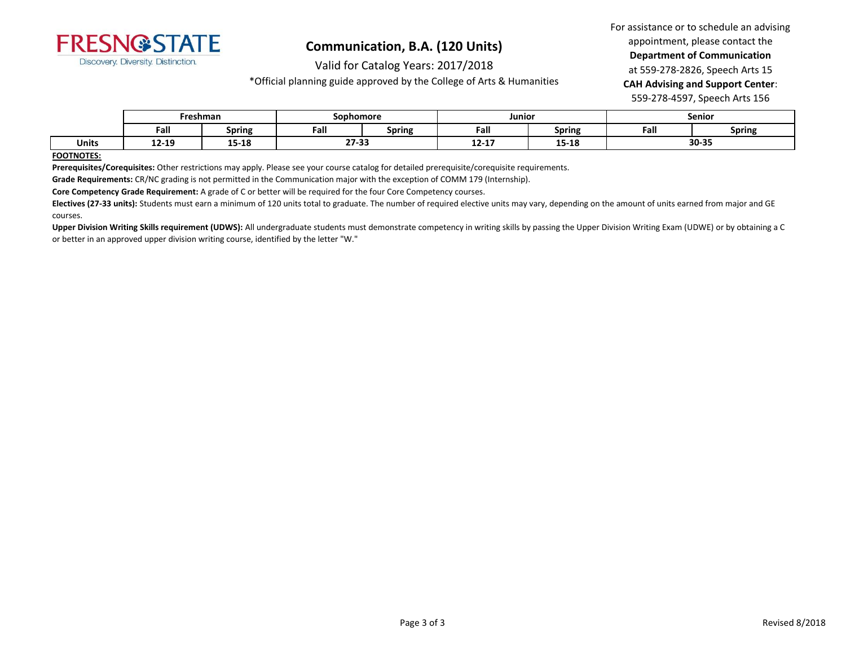

Valid for Catalog Years: 2017/2018

\*Official planning guide approved by the College of Arts & Humanities

For assistance or to schedule an advising appointment, please contact the **Department of Communication** at 559-278-2826, Speech Arts 15 **CAH Advising and Support Center**: 559-278-4597, Speech Arts 156

|              | Freshman |               | <b>Sophomore</b>      |               | Junior    |                | Senior |               |  |
|--------------|----------|---------------|-----------------------|---------------|-----------|----------------|--------|---------------|--|
|              | Fall     | <b>Spring</b> | Fall                  | <b>Spring</b> | Fall      | <b>Spring</b>  | Fall   | <b>Spring</b> |  |
| <b>Units</b> | 12-19    | 15-18         | <b>27.33</b><br>21-53 |               | $12 - 17$ | 4F.4G<br>TJ-TO | 30-35  |               |  |

**FOOTNOTES:**

**Prerequisites/Corequisites:** Other restrictions may apply. Please see your course catalog for detailed prerequisite/corequisite requirements.

**Grade Requirements:** CR/NC grading is not permitted in the Communication major with the exception of COMM 179 (Internship).

**Core Competency Grade Requirement:** A grade of C or better will be required for the four Core Competency courses.

**Electives (27-33 units):** Students must earn a minimum of 120 units total to graduate. The number of required elective units may vary, depending on the amount of units earned from major and GE courses.

Upper Division Writing Skills requirement (UDWS): All undergraduate students must demonstrate competency in writing skills by passing the Upper Division Writing Exam (UDWE) or by obtaining a C or better in an approved upper division writing course, identified by the letter "W."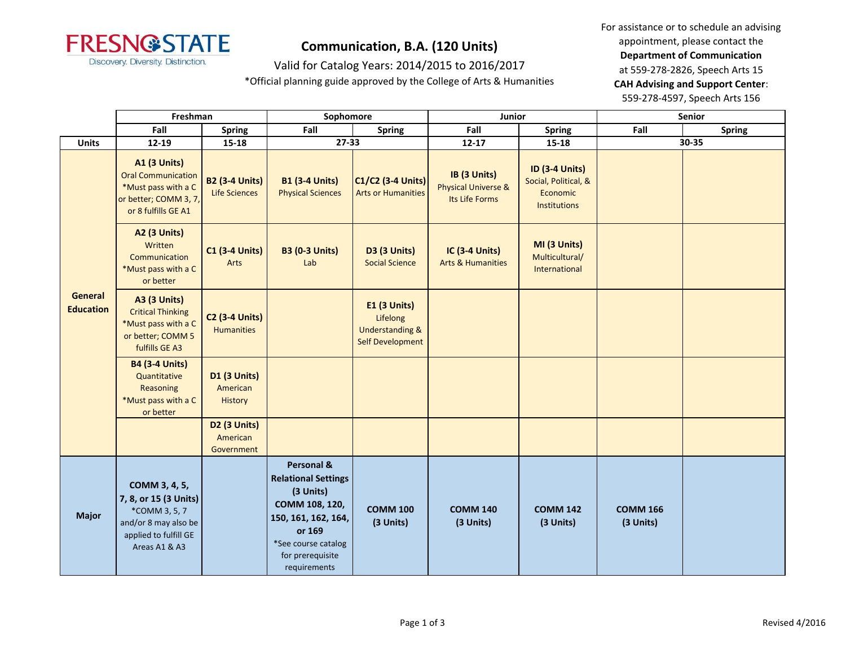

Valid for Catalog Years: 2014/2015 to 2016/2017

\*Official planning guide approved by the College of Arts & Humanities

|                                    | Freshman                                                                                                                  |                                            | Sophomore                                                                                                                                                           |                                                                                   | Junior                                                           |                                                                                  | Senior                       |               |
|------------------------------------|---------------------------------------------------------------------------------------------------------------------------|--------------------------------------------|---------------------------------------------------------------------------------------------------------------------------------------------------------------------|-----------------------------------------------------------------------------------|------------------------------------------------------------------|----------------------------------------------------------------------------------|------------------------------|---------------|
|                                    | Fall                                                                                                                      | <b>Spring</b>                              | Fall                                                                                                                                                                | <b>Spring</b>                                                                     | Fall                                                             | <b>Spring</b>                                                                    | Fall                         | <b>Spring</b> |
| <b>Units</b>                       | 12-19                                                                                                                     | $15 - 18$                                  | 27-33                                                                                                                                                               |                                                                                   | $12 - 17$                                                        | $15 - 18$                                                                        |                              | 30-35         |
|                                    | <b>A1 (3 Units)</b><br><b>Oral Communication</b><br>*Must pass with a C<br>or better; COMM 3, 7,<br>or 8 fulfills GE A1   | <b>B2 (3-4 Units)</b><br>Life Sciences     | <b>B1 (3-4 Units)</b><br><b>Physical Sciences</b>                                                                                                                   | <b>C1/C2 (3-4 Units)</b><br><b>Arts or Humanities</b>                             | IB (3 Units)<br><b>Physical Universe &amp;</b><br>Its Life Forms | <b>ID (3-4 Units)</b><br>Social, Political, &<br>Economic<br><b>Institutions</b> |                              |               |
|                                    | <b>A2 (3 Units)</b><br>Written<br>Communication<br>*Must pass with a C<br>or better                                       | <b>C1 (3-4 Units)</b><br>Arts              | <b>B3 (0-3 Units)</b><br>Lab                                                                                                                                        | D3 (3 Units)<br><b>Social Science</b>                                             | <b>IC (3-4 Units)</b><br><b>Arts &amp; Humanities</b>            | MI (3 Units)<br>Multicultural/<br>International                                  |                              |               |
| <b>General</b><br><b>Education</b> | <b>A3 (3 Units)</b><br><b>Critical Thinking</b><br>*Must pass with a C<br>or better; COMM 5<br>fulfills GE A3             | <b>C2 (3-4 Units)</b><br><b>Humanities</b> |                                                                                                                                                                     | E1 (3 Units)<br>Lifelong<br><b>Understanding &amp;</b><br><b>Self Development</b> |                                                                  |                                                                                  |                              |               |
|                                    | <b>B4 (3-4 Units)</b><br>Quantitative<br>Reasoning<br>*Must pass with a C<br>or better                                    | <b>D1 (3 Units)</b><br>American<br>History |                                                                                                                                                                     |                                                                                   |                                                                  |                                                                                  |                              |               |
|                                    |                                                                                                                           | D2 (3 Units)<br>American<br>Government     |                                                                                                                                                                     |                                                                                   |                                                                  |                                                                                  |                              |               |
| <b>Major</b>                       | COMM 3, 4, 5,<br>7, 8, or 15 (3 Units)<br>*COMM 3, 5, 7<br>and/or 8 may also be<br>applied to fulfill GE<br>Areas A1 & A3 |                                            | Personal &<br><b>Relational Settings</b><br>(3 Units)<br>COMM 108, 120,<br>150, 161, 162, 164,<br>or 169<br>*See course catalog<br>for prerequisite<br>requirements | <b>COMM 100</b><br>(3 Units)                                                      | <b>COMM 140</b><br>(3 Units)                                     | <b>COMM 142</b><br>(3 Units)                                                     | <b>COMM 166</b><br>(3 Units) |               |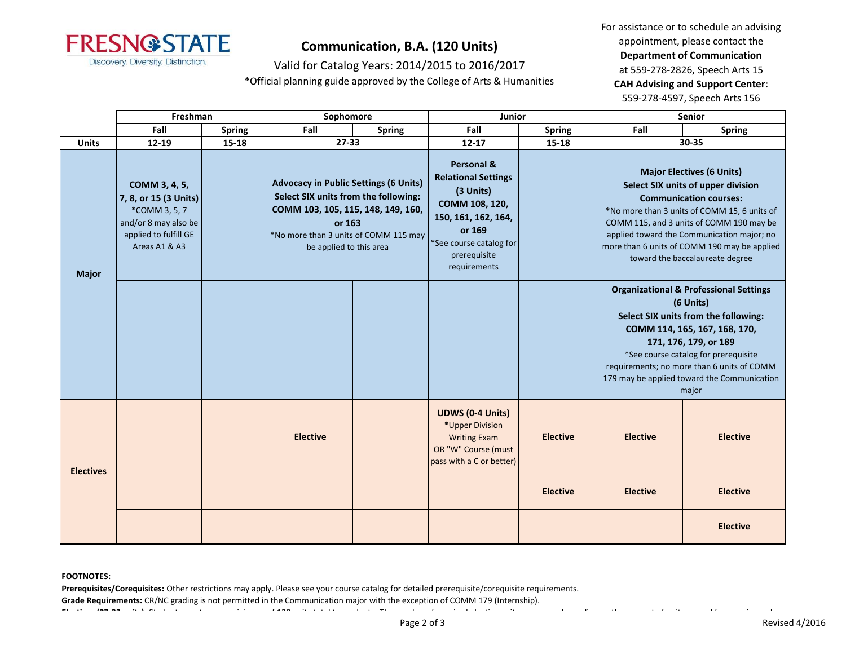

Valid for Catalog Years: 2014/2015 to 2016/2017

\*Official planning guide approved by the College of Arts & Humanities

For assistance or to schedule an advising appointment, please contact the **Department of Communication** at 559-278-2826, Speech Arts 15 **CAH Advising and Support Center**: 559-278-4597, Speech Arts 156

|                  | Freshman                                                                                                                  |               | Sophomore                                                                                                                                                                                                |               | Junior                                                                                                                                                              |                 |                                                                                                                                                                                                                                                                                                                | <b>Senior</b>                                                                                                                                                                                                                                                                                                                        |
|------------------|---------------------------------------------------------------------------------------------------------------------------|---------------|----------------------------------------------------------------------------------------------------------------------------------------------------------------------------------------------------------|---------------|---------------------------------------------------------------------------------------------------------------------------------------------------------------------|-----------------|----------------------------------------------------------------------------------------------------------------------------------------------------------------------------------------------------------------------------------------------------------------------------------------------------------------|--------------------------------------------------------------------------------------------------------------------------------------------------------------------------------------------------------------------------------------------------------------------------------------------------------------------------------------|
|                  | Fall                                                                                                                      | <b>Spring</b> | Fall                                                                                                                                                                                                     | <b>Spring</b> | Fall                                                                                                                                                                | <b>Spring</b>   | Fall                                                                                                                                                                                                                                                                                                           | <b>Spring</b>                                                                                                                                                                                                                                                                                                                        |
| <b>Units</b>     | $12 - 19$                                                                                                                 | $15 - 18$     | $27 - 33$                                                                                                                                                                                                |               | $12 - 17$                                                                                                                                                           | $15 - 18$       |                                                                                                                                                                                                                                                                                                                | 30-35                                                                                                                                                                                                                                                                                                                                |
| <b>Major</b>     | COMM 3, 4, 5,<br>7, 8, or 15 (3 Units)<br>*COMM 3, 5, 7<br>and/or 8 may also be<br>applied to fulfill GE<br>Areas A1 & A3 |               | <b>Advocacy in Public Settings (6 Units)</b><br>Select SIX units from the following:<br>COMM 103, 105, 115, 148, 149, 160,<br>or 163<br>*No more than 3 units of COMM 115 may<br>be applied to this area |               | Personal &<br><b>Relational Settings</b><br>(3 Units)<br>COMM 108, 120,<br>150, 161, 162, 164,<br>or 169<br>*See course catalog for<br>prerequisite<br>requirements |                 |                                                                                                                                                                                                                                                                                                                | <b>Major Electives (6 Units)</b><br>Select SIX units of upper division<br><b>Communication courses:</b><br>*No more than 3 units of COMM 15, 6 units of<br>COMM 115, and 3 units of COMM 190 may be<br>applied toward the Communication major; no<br>more than 6 units of COMM 190 may be applied<br>toward the baccalaureate degree |
|                  |                                                                                                                           |               |                                                                                                                                                                                                          |               |                                                                                                                                                                     |                 | <b>Organizational &amp; Professional Settings</b><br>(6 Units)<br>Select SIX units from the following:<br>COMM 114, 165, 167, 168, 170,<br>171, 176, 179, or 189<br>*See course catalog for prerequisite<br>requirements; no more than 6 units of COMM<br>179 may be applied toward the Communication<br>major |                                                                                                                                                                                                                                                                                                                                      |
| <b>Electives</b> |                                                                                                                           |               | <b>Elective</b>                                                                                                                                                                                          |               | <b>UDWS (0-4 Units)</b><br>*Upper Division<br><b>Writing Exam</b><br>OR "W" Course (must<br>pass with a C or better)                                                | <b>Elective</b> | <b>Elective</b>                                                                                                                                                                                                                                                                                                | <b>Elective</b>                                                                                                                                                                                                                                                                                                                      |
|                  |                                                                                                                           |               |                                                                                                                                                                                                          |               |                                                                                                                                                                     | <b>Elective</b> | <b>Elective</b>                                                                                                                                                                                                                                                                                                | <b>Elective</b>                                                                                                                                                                                                                                                                                                                      |
|                  |                                                                                                                           |               |                                                                                                                                                                                                          |               |                                                                                                                                                                     |                 |                                                                                                                                                                                                                                                                                                                | <b>Elective</b>                                                                                                                                                                                                                                                                                                                      |

#### **FOOTNOTES:**

**Prerequisites/Corequisites:** Other restrictions may apply. Please see your course catalog for detailed prerequisite/corequisite requirements.

**Grade Requirements:** CR/NC grading is not permitted in the Communication major with the exception of COMM 179 (Internship).

**Electives (27-33 units):** Students must earn a minimum of 120 units total to graduate. The number of required elective units may vary, depending on the amount of units earned from major and